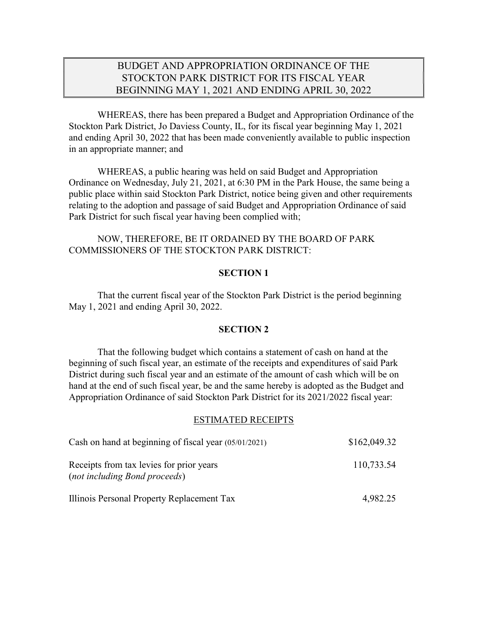# BUDGET AND APPROPRIATION ORDINANCE OF THE STOCKTON PARK DISTRICT FOR ITS FISCAL YEAR BEGINNING MAY 1, 2021 AND ENDING APRIL 30, 2022

 WHEREAS, there has been prepared a Budget and Appropriation Ordinance of the Stockton Park District, Jo Daviess County, IL, for its fiscal year beginning May 1, 2021 and ending April 30, 2022 that has been made conveniently available to public inspection in an appropriate manner; and

 WHEREAS, a public hearing was held on said Budget and Appropriation Ordinance on Wednesday, July 21, 2021, at 6:30 PM in the Park House, the same being a public place within said Stockton Park District, notice being given and other requirements relating to the adoption and passage of said Budget and Appropriation Ordinance of said Park District for such fiscal year having been complied with;

 NOW, THEREFORE, BE IT ORDAINED BY THE BOARD OF PARK COMMISSIONERS OF THE STOCKTON PARK DISTRICT:

## SECTION 1

That the current fiscal year of the Stockton Park District is the period beginning May 1, 2021 and ending April 30, 2022.

#### SECTION 2

That the following budget which contains a statement of cash on hand at the beginning of such fiscal year, an estimate of the receipts and expenditures of said Park District during such fiscal year and an estimate of the amount of cash which will be on hand at the end of such fiscal year, be and the same hereby is adopted as the Budget and Appropriation Ordinance of said Stockton Park District for its 2021/2022 fiscal year:

#### ESTIMATED RECEIPTS

| Cash on hand at beginning of fiscal year (05/01/2021)                            | \$162,049.32 |
|----------------------------------------------------------------------------------|--------------|
| Receipts from tax levies for prior years<br><i>(not including Bond proceeds)</i> | 110,733.54   |
| Illinois Personal Property Replacement Tax                                       | 4,982.25     |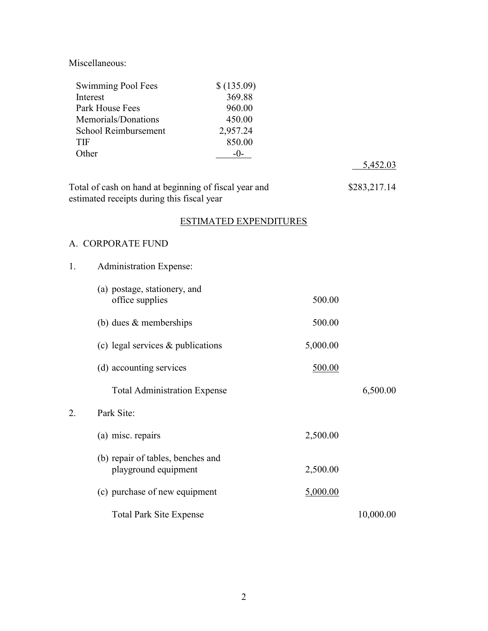Miscellaneous:

| Swimming Pool Fees<br>Interest<br>Park House Fees<br>Memorials/Donations<br>School Reimbursement<br><b>TIF</b><br>Other | \$(135.09)<br>369.88<br>960.00<br>450.00<br>2,957.24<br>850.00<br>$-0-$ |          | <u>5,452.03</u> |
|-------------------------------------------------------------------------------------------------------------------------|-------------------------------------------------------------------------|----------|-----------------|
| Total of cash on hand at beginning of fiscal year and<br>estimated receipts during this fiscal year                     |                                                                         |          | \$283,217.14    |
|                                                                                                                         | <b>ESTIMATED EXPENDITURES</b>                                           |          |                 |
| A. CORPORATE FUND                                                                                                       |                                                                         |          |                 |
| <b>Administration Expense:</b><br>1.                                                                                    |                                                                         |          |                 |
| (a) postage, stationery, and<br>office supplies                                                                         |                                                                         | 500.00   |                 |
| (b) dues $&$ memberships                                                                                                |                                                                         | 500.00   |                 |
| (c) legal services $&$ publications                                                                                     |                                                                         | 5,000.00 |                 |
| (d) accounting services                                                                                                 |                                                                         | 500.00   |                 |
| <b>Total Administration Expense</b>                                                                                     |                                                                         |          | 6,500.00        |
| Park Site:<br>2.                                                                                                        |                                                                         |          |                 |
| (a) misc. repairs                                                                                                       |                                                                         | 2,500.00 |                 |
| (b) repair of tables, benches and<br>playground equipment                                                               |                                                                         | 2,500.00 |                 |
| (c) purchase of new equipment                                                                                           |                                                                         | 5,000.00 |                 |
| <b>Total Park Site Expense</b>                                                                                          |                                                                         |          | 10,000.00       |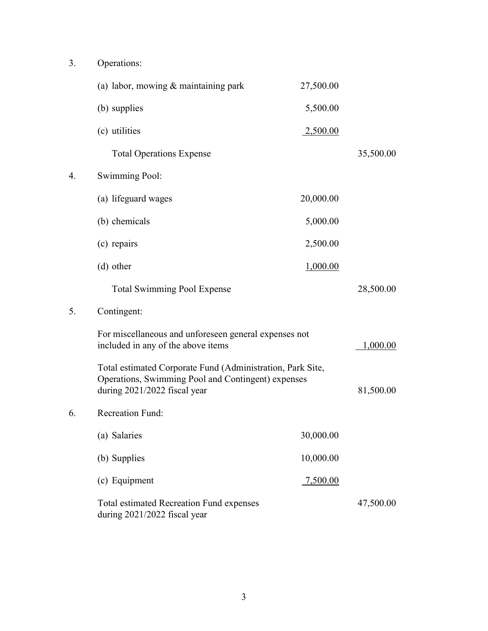| 3. | Operations:                                                                                                                                      |                 |           |
|----|--------------------------------------------------------------------------------------------------------------------------------------------------|-----------------|-----------|
|    | (a) labor, mowing $&$ maintaining park                                                                                                           | 27,500.00       |           |
|    | (b) supplies                                                                                                                                     | 5,500.00        |           |
|    | (c) utilities                                                                                                                                    | <u>2,500.00</u> |           |
|    | <b>Total Operations Expense</b>                                                                                                                  |                 | 35,500.00 |
| 4. | <b>Swimming Pool:</b>                                                                                                                            |                 |           |
|    | (a) lifeguard wages                                                                                                                              | 20,000.00       |           |
|    | (b) chemicals                                                                                                                                    | 5,000.00        |           |
|    | (c) repairs                                                                                                                                      | 2,500.00        |           |
|    | (d) other                                                                                                                                        | 1,000.00        |           |
|    | <b>Total Swimming Pool Expense</b>                                                                                                               |                 | 28,500.00 |
| 5. | Contingent:                                                                                                                                      |                 |           |
|    | For miscellaneous and unforeseen general expenses not<br>included in any of the above items                                                      | 1,000.00        |           |
|    | Total estimated Corporate Fund (Administration, Park Site,<br>Operations, Swimming Pool and Contingent) expenses<br>during 2021/2022 fiscal year |                 | 81,500.00 |
| 6. | <b>Recreation Fund:</b>                                                                                                                          |                 |           |
|    | (a) Salaries                                                                                                                                     | 30,000.00       |           |
|    | (b) Supplies                                                                                                                                     | 10,000.00       |           |
|    | (c) Equipment                                                                                                                                    | 7,500.00        |           |
|    | Total estimated Recreation Fund expenses<br>during 2021/2022 fiscal year                                                                         |                 | 47,500.00 |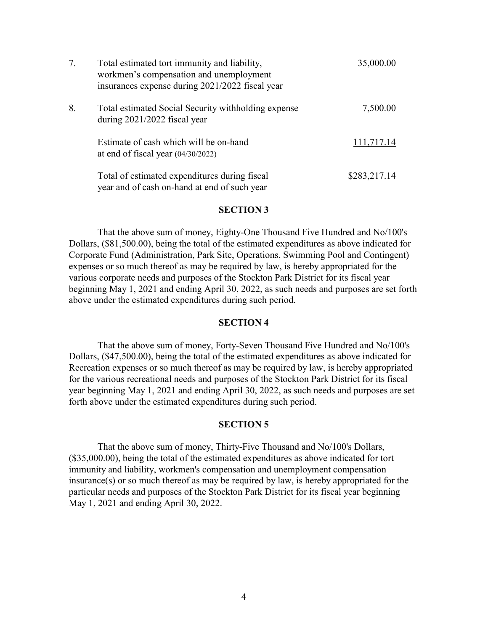| 7. | Total estimated tort immunity and liability,<br>workmen's compensation and unemployment<br>insurances expense during 2021/2022 fiscal year | 35,000.00    |
|----|--------------------------------------------------------------------------------------------------------------------------------------------|--------------|
| 8. | Total estimated Social Security with holding expense<br>during $2021/2022$ fiscal year                                                     | 7,500.00     |
|    | Estimate of cash which will be on-hand<br>at end of fiscal year $(04/30/2022)$                                                             | 111,717.14   |
|    | Total of estimated expenditures during fiscal<br>year and of cash on-hand at end of such year                                              | \$283,217.14 |

#### SECTION 3

That the above sum of money, Eighty-One Thousand Five Hundred and No/100's Dollars, (\$81,500.00), being the total of the estimated expenditures as above indicated for Corporate Fund (Administration, Park Site, Operations, Swimming Pool and Contingent) expenses or so much thereof as may be required by law, is hereby appropriated for the various corporate needs and purposes of the Stockton Park District for its fiscal year beginning May 1, 2021 and ending April 30, 2022, as such needs and purposes are set forth above under the estimated expenditures during such period.

#### SECTION 4

That the above sum of money, Forty-Seven Thousand Five Hundred and No/100's Dollars, (\$47,500.00), being the total of the estimated expenditures as above indicated for Recreation expenses or so much thereof as may be required by law, is hereby appropriated for the various recreational needs and purposes of the Stockton Park District for its fiscal year beginning May 1, 2021 and ending April 30, 2022, as such needs and purposes are set forth above under the estimated expenditures during such period.

#### SECTION 5

That the above sum of money, Thirty-Five Thousand and No/100's Dollars, (\$35,000.00), being the total of the estimated expenditures as above indicated for tort immunity and liability, workmen's compensation and unemployment compensation insurance(s) or so much thereof as may be required by law, is hereby appropriated for the particular needs and purposes of the Stockton Park District for its fiscal year beginning May 1, 2021 and ending April 30, 2022.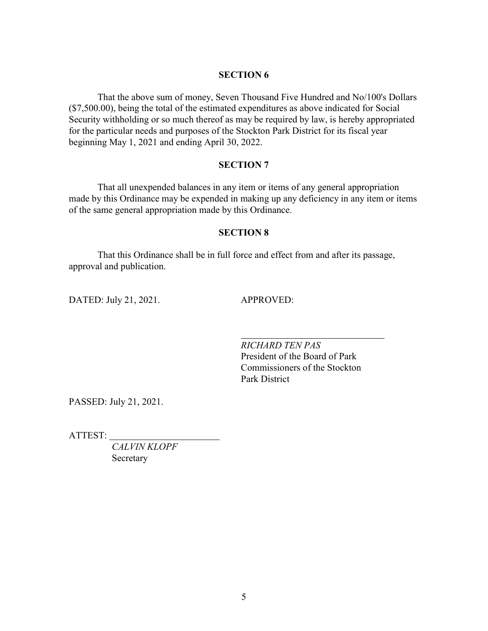# SECTION 6

That the above sum of money, Seven Thousand Five Hundred and No/100's Dollars (\$7,500.00), being the total of the estimated expenditures as above indicated for Social Security withholding or so much thereof as may be required by law, is hereby appropriated for the particular needs and purposes of the Stockton Park District for its fiscal year beginning May 1, 2021 and ending April 30, 2022.

## SECTION 7

That all unexpended balances in any item or items of any general appropriation made by this Ordinance may be expended in making up any deficiency in any item or items of the same general appropriation made by this Ordinance.

# SECTION 8

That this Ordinance shall be in full force and effect from and after its passage, approval and publication.

DATED: July 21, 2021. APPROVED:

 RICHARD TEN PAS President of the Board of Park Commissioners of the Stockton Park District

PASSED: July 21, 2021.

ATTEST:

CALVIN KLOPF Secretary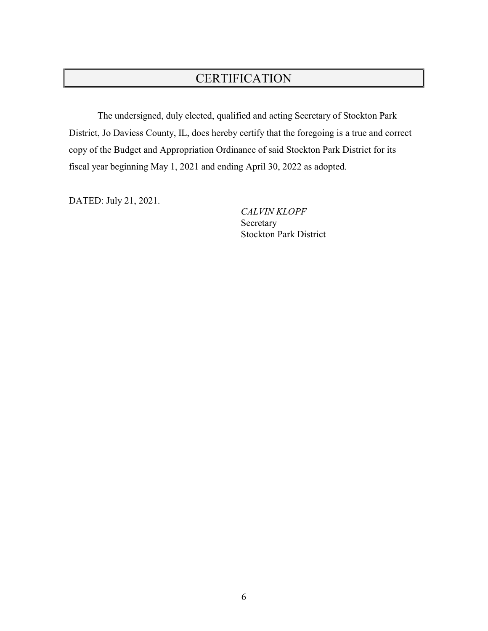# **CERTIFICATION**

 The undersigned, duly elected, qualified and acting Secretary of Stockton Park District, Jo Daviess County, IL, does hereby certify that the foregoing is a true and correct copy of the Budget and Appropriation Ordinance of said Stockton Park District for its fiscal year beginning May 1, 2021 and ending April 30, 2022 as adopted.

DATED: July 21, 2021.

 CALVIN KLOPF Secretary Stockton Park District